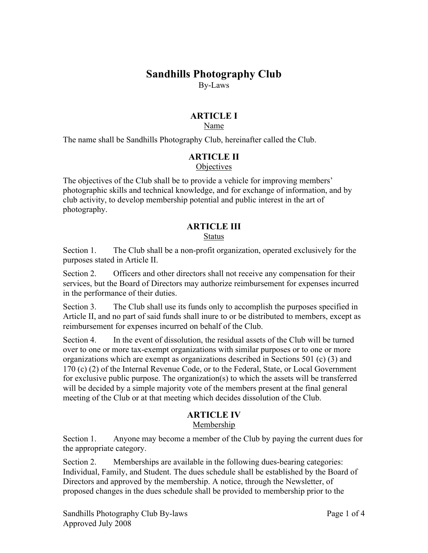# **Sandhills Photography Club**

By-Laws

# **ARTICLE I**

### Name

The name shall be Sandhills Photography Club, hereinafter called the Club.

### **ARTICLE II**

### **Objectives**

The objectives of the Club shall be to provide a vehicle for improving members' photographic skills and technical knowledge, and for exchange of information, and by club activity, to develop membership potential and public interest in the art of photography.

# **ARTICLE III**

### Status

Section 1. The Club shall be a non-profit organization, operated exclusively for the purposes stated in Article II.

Section 2. Officers and other directors shall not receive any compensation for their services, but the Board of Directors may authorize reimbursement for expenses incurred in the performance of their duties.

Section 3. The Club shall use its funds only to accomplish the purposes specified in Article II, and no part of said funds shall inure to or be distributed to members, except as reimbursement for expenses incurred on behalf of the Club.

Section 4. In the event of dissolution, the residual assets of the Club will be turned over to one or more tax-exempt organizations with similar purposes or to one or more organizations which are exempt as organizations described in Sections 501 (c) (3) and 170 (c) (2) of the Internal Revenue Code, or to the Federal, State, or Local Government for exclusive public purpose. The organization(s) to which the assets will be transferred will be decided by a simple majority vote of the members present at the final general meeting of the Club or at that meeting which decides dissolution of the Club.

# **ARTICLE IV**

### Membership

Section 1. Anyone may become a member of the Club by paying the current dues for the appropriate category.

Section 2. Memberships are available in the following dues-bearing categories: Individual, Family, and Student. The dues schedule shall be established by the Board of Directors and approved by the membership. A notice, through the Newsletter, of proposed changes in the dues schedule shall be provided to membership prior to the

Sandhills Photography Club By-laws Page 1 of 4 Approved July 2008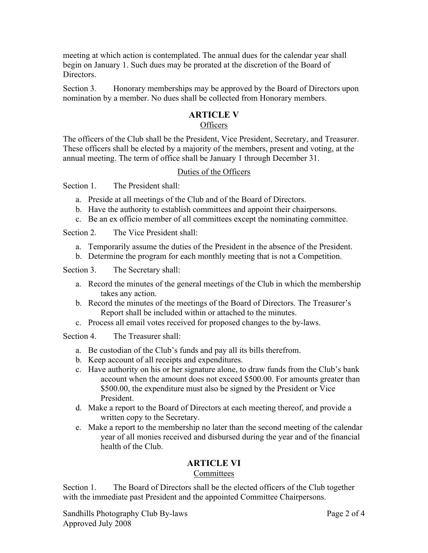meeting at which action is contemplated. The annual dues for the calendar year shall begin on January 1. Such dues may be prorated at the discretion of the Board of **Directors** 

Section 3. Honorary memberships may be approved by the Board of Directors upon nomination by a member. No dues shall be collected from Honorary members.

### **ARTICLE V**

### **Officers**

The officers of the Club shall be the President, Vice President, Secretary, and Treasurer. These officers shall be elected by a majority of the members, present and voting, at the annual meeting. The term of office shall be January 1 through December 31.

#### Duties of the Officers

Section 1. The President shall:

- a. Preside at all meetings of the Club and of the Board of Directors.
- b. Have the authority to establish committees and appoint their chairpersons.
- c. Be an ex officio member of all committees except the nominating committee.

Section 2. The Vice President shall:

- a. Temporarily assume the duties of the President in the absence of the President.
- b. Determine the program for each monthly meeting that is not a Competition.

Section 3. The Secretary shall:

- a. Record the minutes of the general meetings of the Club in which the membership takes any action.
- b. Record the minutes of the meetings of the Board of Directors. The Treasurer's Report shall be included within or attached to the minutes.
- c. Process all email votes received for proposed changes to the by-laws.

Section 4. The Treasurer shall:

- a. Be custodian of the Club's funds and pay all its bills therefrom.
- b. Keep account of all receipts and expenditures.
- c. Have authority on his or her signature alone, to draw funds from the Club's bank account when the amount does not exceed \$500.00. For amounts greater than \$500.00, the expenditure must also be signed by the President or Vice President.
- d. Make a report to the Board of Directors at each meeting thereof, and provide a written copy to the Secretary.
- e. Make a report to the membership no later than the second meeting of the calendar year of all monies received and disbursed during the year and of the financial health of the Club.

# **ARTICLE VI**

#### **Committees**

Section 1. The Board of Directors shall be the elected officers of the Club together with the immediate past President and the appointed Committee Chairpersons.

Sandhills Photography Club By-laws Page 2 of 4 Approved July 2008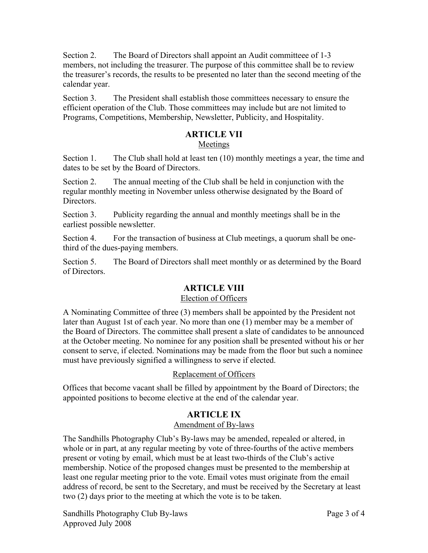Section 2. The Board of Directors shall appoint an Audit committeee of 1-3 members, not including the treasurer. The purpose of this committee shall be to review the treasurer's records, the results to be presented no later than the second meeting of the calendar year.

Section 3. The President shall establish those committees necessary to ensure the efficient operation of the Club. Those committees may include but are not limited to Programs, Competitions, Membership, Newsletter, Publicity, and Hospitality.

# **ARTICLE VII**

### Meetings

Section 1. The Club shall hold at least ten (10) monthly meetings a year, the time and dates to be set by the Board of Directors.

Section 2. The annual meeting of the Club shall be held in conjunction with the regular monthly meeting in November unless otherwise designated by the Board of **Directors** 

Section 3. Publicity regarding the annual and monthly meetings shall be in the earliest possible newsletter.

Section 4. For the transaction of business at Club meetings, a quorum shall be onethird of the dues-paying members.

Section 5. The Board of Directors shall meet monthly or as determined by the Board of Directors.

# **ARTICLE VIII**

### Election of Officers

A Nominating Committee of three (3) members shall be appointed by the President not later than August 1st of each year. No more than one (1) member may be a member of the Board of Directors. The committee shall present a slate of candidates to be announced at the October meeting. No nominee for any position shall be presented without his or her consent to serve, if elected. Nominations may be made from the floor but such a nominee must have previously signified a willingness to serve if elected.

# Replacement of Officers

Offices that become vacant shall be filled by appointment by the Board of Directors; the appointed positions to become elective at the end of the calendar year.

# **ARTICLE IX**

# Amendment of By-laws

The Sandhills Photography Club's By-laws may be amended, repealed or altered, in whole or in part, at any regular meeting by vote of three-fourths of the active members present or voting by email, which must be at least two-thirds of the Club's active membership. Notice of the proposed changes must be presented to the membership at least one regular meeting prior to the vote. Email votes must originate from the email address of record, be sent to the Secretary, and must be received by the Secretary at least two (2) days prior to the meeting at which the vote is to be taken.

Sandhills Photography Club By-laws Page 3 of 4 Approved July 2008